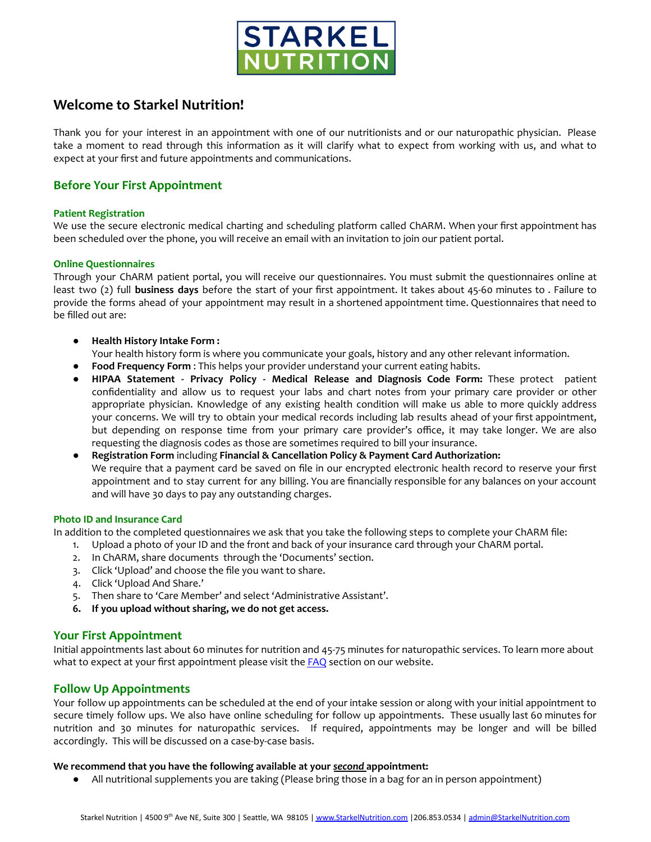

# **Welcome to Starkel Nutrition!**

Thank you for your interest in an appointment with one of our nutritionists and or our naturopathic physician. Please take a moment to read through this information as it will clarify what to expect from working with us, and what to expect at your first and future appointments and communications.

## **Before Your First Appointment**

## **Patient Registration**

We use the secure electronic medical charting and scheduling platform called ChARM. When your first appointment has been scheduled over the phone, you will receive an email with an invitation to join our patient portal.

## **Online Questionnaires**

Through your ChARM patient portal, you will receive our questionnaires. You must submit the questionnaires online at least two (2) full **business days** before the start of your first appointment. It takes about 45-60 minutes to . Failure to provide the forms ahead of your appointment may result in a shortened appointment time. Questionnaires that need to be filled out are:

● **Health History Intake Form :**

Your health history form is where you communicate your goals, history and any other relevant information.

- **Food Frequency Form** : This helps your provider understand your current eating habits.
- **HIPAA Statement - Privacy Policy - Medical Release and Diagnosis Code Form:** These protect patient confidentiality and allow us to request your labs and chart notes from your primary care provider or other appropriate physician. Knowledge of any existing health condition will make us able to more quickly address your concerns. We will try to obtain your medical records including lab results ahead of your first appointment, but depending on response time from your primary care provider's office, it may take longer. We are also requesting the diagnosis codes as those are sometimes required to bill your insurance.
- **Registration Form** including **Financial & Cancellation Policy & Payment Card Authorization:** We require that a payment card be saved on file in our encrypted electronic health record to reserve your first appointment and to stay current for any billing. You are financially responsible for any balances on your account and will have 30 days to pay any outstanding charges.

## **Photo ID and Insurance Card**

In addition to the completed questionnaires we ask that you take the following steps to complete your ChARM file:

- 1. Upload a photo of your ID and the front and back of your insurance card through your ChARM portal.
- 2. In ChARM, share documents through the 'Documents' section.
- 3. Click 'Upload' and choose the file you want to share.
- 4. Click 'Upload And Share.'
- 5. Then share to 'Care Member' and select 'Administrative Assistant'.
- **6. If you upload without sharing, we do not get access.**

## **Your First Appointment**

Initial appointments last about 60 minutes for nutrition and 45-75 minutes for naturopathic services. To learn more about what to expect at your first appointment please visit the [FAQ](https://www.starkelnutrition.com/seattle-nutritionist-faq/) section on our website.

## **Follow Up Appointments**

Your follow up appointments can be scheduled at the end of your intake session or along with your initial appointment to secure timely follow ups. We also have online scheduling for follow up appointments. These usually last 60 minutes for nutrition and 30 minutes for naturopathic services. If required, appointments may be longer and will be billed accordingly. This will be discussed on a case-by-case basis.

## **We recommend that you have the following available at your** *second* **appointment:**

● All nutritional supplements you are taking (Please bring those in a bag for an in person appointment)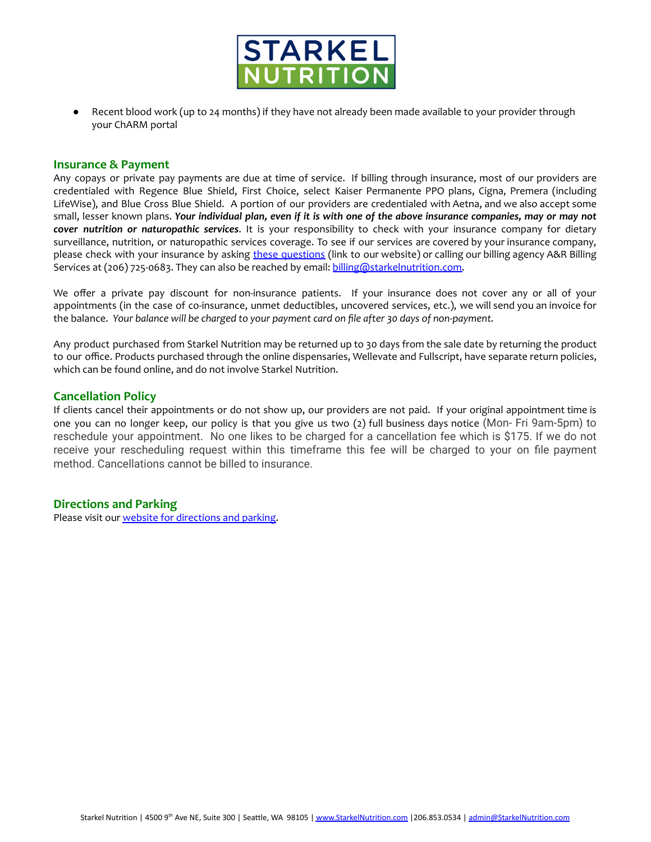

● Recent blood work (up to 24 months) if they have not already been made available to your provider through your ChARM portal

#### **Insurance & Payment**

Any copays or private pay payments are due at time of service. If billing through insurance, most of our providers are credentialed with Regence Blue Shield, First Choice, select Kaiser Permanente PPO plans, Cigna, Premera (including LifeWise), and Blue Cross Blue Shield. A portion of our providers are credentialed with Aetna, and we also accept some small, lesser known plans. Your individual plan, even if it is with one of the above insurance companies, may or may not *cover nutrition or naturopathic services*. It is your responsibility to check with your insurance company for dietary surveillance, nutrition, or naturopathic services coverage. To see if our services are covered by your insurance company, please check with your insurance by asking these [questions](http://www.starkelnutrition.com/new-clients/) (link to our website) or calling our billing agency A&R Billing Services at (206) 725-0683. They can also be reached by email: [billing@starkelnutrition.com.](mailto:billing@starkelnutrition.com)

We offer a private pay discount for non-insurance patients. If your insurance does not cover any or all of your appointments (in the case of co-insurance, unmet deductibles, uncovered services, etc.), we will send you an invoice for the balance. *Your balance will be charged to your payment card on file after 30 days of non-payment.*

Any product purchased from Starkel Nutrition may be returned up to 30 days from the sale date by returning the product to our office. Products purchased through the online dispensaries, Wellevate and Fullscript, have separate return policies, which can be found online, and do not involve Starkel Nutrition.

## **Cancellation Policy**

If clients cancel their appointments or do not show up, our providers are not paid. If your original appointment time is one you can no longer keep, our policy is that you give us two (2) full business days notice (Mon- Fri 9am-5pm) to reschedule your appointment. No one likes to be charged for a cancellation fee which is \$175. If we do not receive your rescheduling request within this timeframe this fee will be charged to your on file payment method. Cancellations cannot be billed to insurance.

## **Directions and Parking**

Please visit our website for [directions](http://www.starkelnutrition.com/contact/) and parking.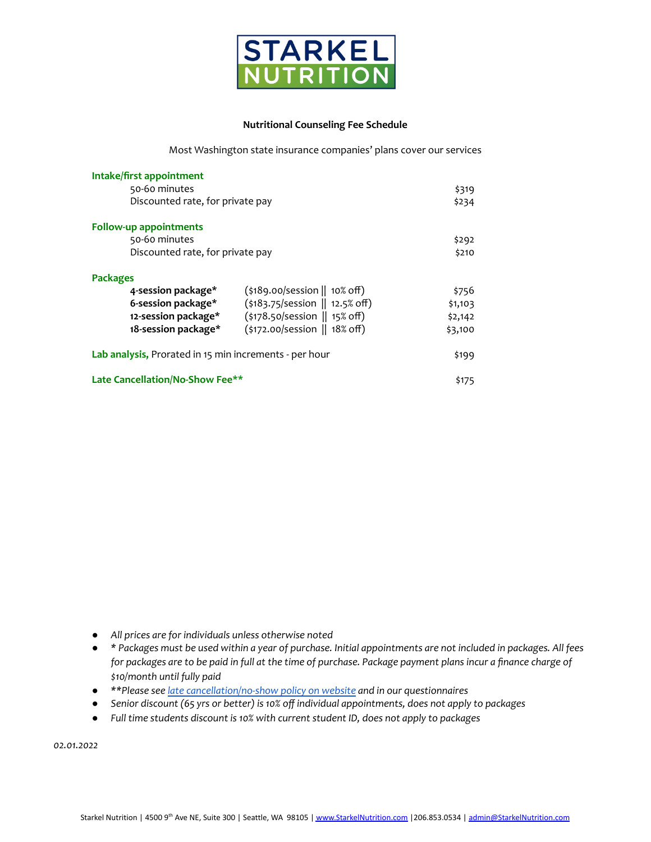

#### **Nutritional Counseling Fee Schedule**

Most Washington state insurance companies' plans cover our services

| Intake/first appointment                               |                                                         |         |
|--------------------------------------------------------|---------------------------------------------------------|---------|
| 50-60 minutes                                          |                                                         | \$319   |
| Discounted rate, for private pay                       |                                                         | \$234   |
| Follow-up appointments                                 |                                                         |         |
| 50-60 minutes                                          |                                                         | \$292   |
| Discounted rate, for private pay                       |                                                         | \$210   |
| <b>Packages</b>                                        |                                                         |         |
| 4-session package*                                     | $(\frac{1}{2}189.00/\text{session}   10\% \text{ off})$ | \$756   |
| 6-session package*                                     | (\$183.75/session    12.5% off)                         | \$1,103 |
| 12-session package*                                    | (\$178.50/session    15% off)                           | \$2,142 |
| 18-session package*                                    | (\$172.00/session    18% off)                           | \$3,100 |
| Lab analysis, Prorated in 15 min increments - per hour |                                                         | \$199   |
| Late Cancellation/No-Show Fee**                        |                                                         | \$175   |

- *● All prices are for individuals unless otherwise noted*
- \* Packages must be used within a year of purchase. Initial appointments are not included in packages. All fees for packages are to be paid in full at the time of purchase. Package payment plans incur a finance charge of *\$10/month until fully paid*
- *● \*\*Please see late [cancellation/no-show](https://www.starkelnutrition.com/new-clients/) policy on website and in our questionnaires*
- *● Senior discount (65 yrs or better) is 10% off individual appointments, does not apply to packages*
- *● Full time students discount is 10% with current student ID, does not apply to packages*

*02.01.2022*